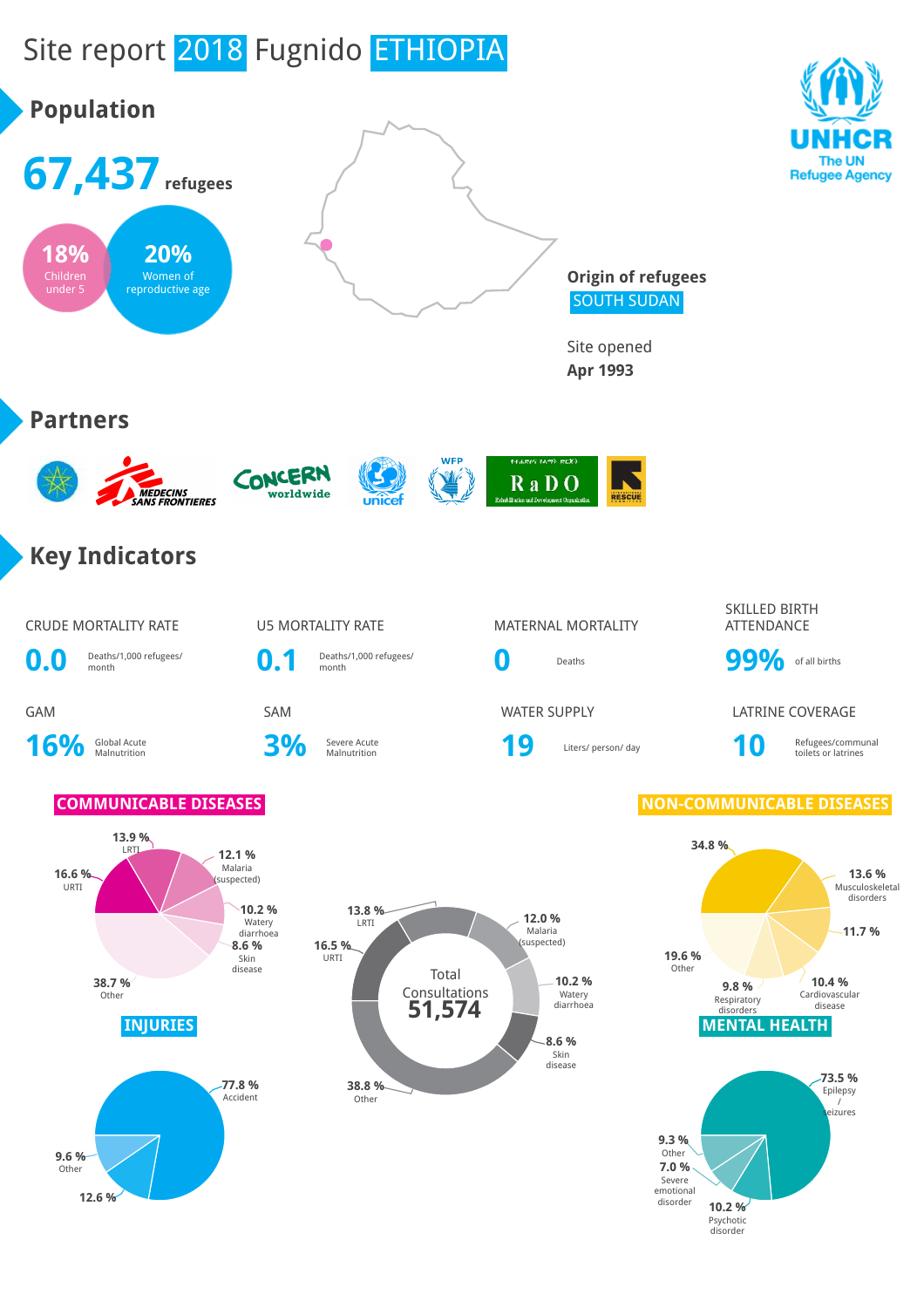### Site report 2018 Fugnido ETHIOPIA **Population 67,437refugees** The UN **Refugee Agency 18% 20% Origin of refugees**

SOUTH SUDAN

Site opened **Apr 1993**









### **WED** ¥ RaDO

### **Key Indicators**

16% Global Acute

**0.0** Deaths/1,000 refugees/ **0.1** Deaths/1,000 refugees/

**3%** Severe Acute

# CRUDE MORTALITY RATE **U5 MORTALITY RATE** MATERNAL MORTALITY

Severe Acute **19 19** Liters/ person/ day **10** Refugees/communal Refugees/communal Refugees/communal

SKILLED BIRTH ATTENDANCE

Deaths/1,000 refugees/<br>month **0** Deaths **99%** of all births

GAM SAM SAM WATER SUPPLY LATRINE COVERAGE

toilets or latrines

### **COMMUNICABLE DISEASES NON-COMMUNICABLE DISEASES**







Children under 5 Women of

reproductive age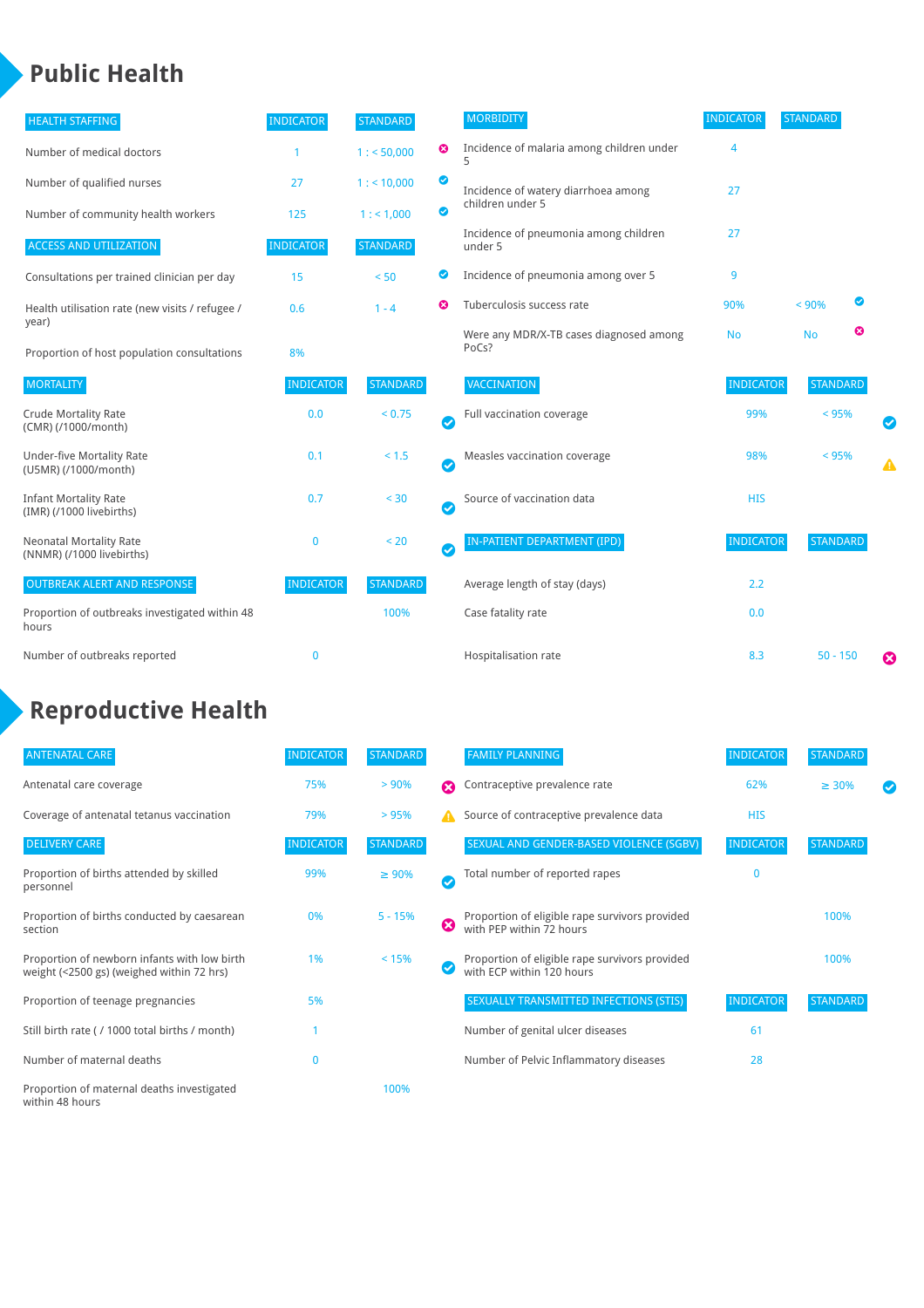### **Public Health**

| <b>HEALTH STAFFING</b>                                      | <b>INDICATOR</b> | <b>STANDARD</b> |           | <b>MORBIDITY</b>                                 | <b>INDICATOR</b> | <b>STANDARD</b> |   |
|-------------------------------------------------------------|------------------|-----------------|-----------|--------------------------------------------------|------------------|-----------------|---|
| Number of medical doctors                                   |                  | 1: 50,000       | ☺         | Incidence of malaria among children under        | 4                |                 |   |
| Number of qualified nurses                                  | 27               | $1:$ < 10,000   | ◙         | Incidence of watery diarrhoea among              | 27               |                 |   |
| Number of community health workers                          | 125              | 1: 1,000        | ◙         | children under 5                                 |                  |                 |   |
| <b>ACCESS AND UTILIZATION</b>                               | <b>INDICATOR</b> | <b>STANDARD</b> |           | Incidence of pneumonia among children<br>under 5 | 27               |                 |   |
| Consultations per trained clinician per day                 | 15               | < 50            | ◙         | Incidence of pneumonia among over 5              | 9                |                 |   |
| Health utilisation rate (new visits / refugee /             | 0.6              | $1 - 4$         | Ø         | Tuberculosis success rate                        | 90%              | < 90%           | ◙ |
| year)<br>Proportion of host population consultations        | 8%               |                 |           | Were any MDR/X-TB cases diagnosed among<br>PoCs? | <b>No</b>        | <b>No</b>       | ☺ |
| <b>MORTALITY</b>                                            | <b>INDICATOR</b> | <b>STANDARD</b> |           | VACCINATION                                      | <b>INDICATOR</b> | <b>STANDARD</b> |   |
| <b>Crude Mortality Rate</b><br>(CMR) (/1000/month)          | 0.0              | < 0.75          | Ø         | Full vaccination coverage                        | 99%              | $< 95\%$        |   |
| <b>Under-five Mortality Rate</b><br>(U5MR) (/1000/month)    | 0.1              | < 1.5           | $\bullet$ | Measles vaccination coverage                     | 98%              | < 95%           | ▲ |
| <b>Infant Mortality Rate</b><br>(IMR) (/1000 livebirths)    | 0.7              | < 30            | $\bullet$ | Source of vaccination data                       | <b>HIS</b>       |                 |   |
| <b>Neonatal Mortality Rate</b><br>(NNMR) (/1000 livebirths) | $\mathbf{0}$     | < 20            | $\bullet$ | <b>IN-PATIENT DEPARTMENT (IPD)</b>               | <b>INDICATOR</b> | <b>STANDARD</b> |   |
| <b>OUTBREAK ALERT AND RESPONSE</b>                          | <b>INDICATOR</b> | <b>STANDARD</b> |           | Average length of stay (days)                    | 2.2              |                 |   |
| Proportion of outbreaks investigated within 48<br>hours     |                  | 100%            |           | Case fatality rate                               | 0.0              |                 |   |
| Number of outbreaks reported                                | $\mathbf{0}$     |                 |           | Hospitalisation rate                             | 8.3              | $50 - 150$      | Ø |

### **Reproductive Health**

| <b>ANTENATAL CARE</b>                                                                     | <b>INDICATOR</b> | <b>STANDARD</b> |   | <b>FAMILY PLANNING</b>                                                      | <b>INDICATOR</b> | <b>STANDARD</b> |  |
|-------------------------------------------------------------------------------------------|------------------|-----------------|---|-----------------------------------------------------------------------------|------------------|-----------------|--|
| Antenatal care coverage                                                                   | 75%              | > 90%           | Ω | Contraceptive prevalence rate                                               | 62%              | $\geq 30\%$     |  |
| Coverage of antenatal tetanus vaccination                                                 | 79%              | > 95%           |   | Source of contraceptive prevalence data                                     | <b>HIS</b>       |                 |  |
| <b>DELIVERY CARE</b>                                                                      | <b>INDICATOR</b> | STANDARD        |   | SEXUAL AND GENDER-BASED VIOLENCE (SGBV)                                     | <b>INDICATOR</b> | <b>STANDARD</b> |  |
| Proportion of births attended by skilled<br>personnel                                     | 99%              | $\geq 90\%$     |   | Total number of reported rapes                                              | $\Omega$         |                 |  |
| Proportion of births conducted by caesarean<br>section                                    | 0%               | $5 - 15%$       | ☺ | Proportion of eligible rape survivors provided<br>with PEP within 72 hours  |                  | 100%            |  |
| Proportion of newborn infants with low birth<br>weight (<2500 gs) (weighed within 72 hrs) | 1%               | < 15%           |   | Proportion of eligible rape survivors provided<br>with ECP within 120 hours |                  | 100%            |  |
| Proportion of teenage pregnancies                                                         | 5%               |                 |   | SEXUALLY TRANSMITTED INFECTIONS (STIS)                                      | <b>INDICATOR</b> | <b>STANDARD</b> |  |
| Still birth rate (/1000 total births / month)                                             |                  |                 |   | Number of genital ulcer diseases                                            | 61               |                 |  |
| Number of maternal deaths                                                                 | 0                |                 |   | Number of Pelvic Inflammatory diseases                                      | 28               |                 |  |
| Proportion of maternal deaths investigated<br>within 48 hours                             |                  | 100%            |   |                                                                             |                  |                 |  |